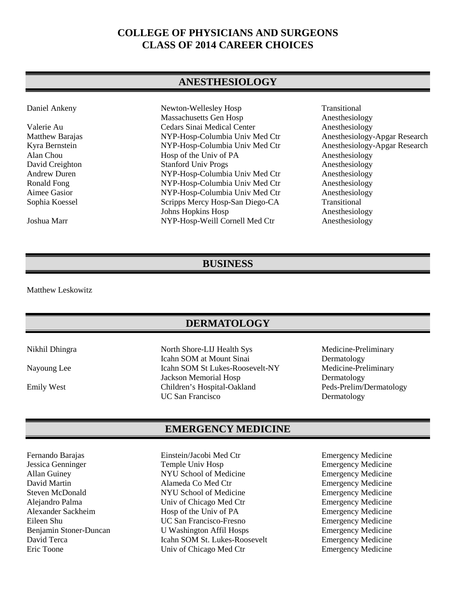## **COLLEGE OF PHYSICIANS AND SURGEONS CLASS OF 2014 CAREER CHOICES**

#### **ANESTHESIOLOGY**

| Daniel Ankeny       | Newton-Wellesley Hosp           | Transitional   |
|---------------------|---------------------------------|----------------|
|                     | Massachusetts Gen Hosp          | Anesthesiology |
| Valerie Au          | Cedars Sinai Medical Center     | Anesthesiology |
| Matthew Barajas     | NYP-Hosp-Columbia Univ Med Ctr  | Anesthesiology |
| Kyra Bernstein      | NYP-Hosp-Columbia Univ Med Ctr  | Anesthesiology |
| Alan Chou           | Hosp of the Univ of PA          | Anesthesiology |
| David Creighton     | <b>Stanford Univ Progs</b>      | Anesthesiology |
| <b>Andrew Duren</b> | NYP-Hosp-Columbia Univ Med Ctr  | Anesthesiology |
| Ronald Fong         | NYP-Hosp-Columbia Univ Med Ctr  | Anesthesiology |
| Aimee Gasior        | NYP-Hosp-Columbia Univ Med Ctr  | Anesthesiology |
| Sophia Koessel      | Scripps Mercy Hosp-San Diego-CA | Transitional   |
|                     | Johns Hopkins Hosp              | Anesthesiology |
| Joshua Marr         | NYP-Hosp-Weill Cornell Med Ctr  | Anesthesiology |

Anesthesiology An esthesiology Anesthesiology-Apgar Research Anesthesiology-Apgar Research An esthesiology Anesthesiology Anesthesiology Anesthesiology Anesthesiology Anesthesiology

#### **BUSINESS**

Matthew Leskowitz

#### **DERMATOLOGY**

Nikhil Dhingra North Shore-LIJ Health Sys Medicine-Preliminary Icahn SOM at Mount Sinai Dermatology<br>
Icahn SOM St Lukes-Roosevelt-NY Medicine-Preliminary Nayoung Lee Icahn SOM St Lukes-Roosevelt-NY Jackson Memorial Hosp Dermatology Emily West Children's Hospital-Oakland Peds-Prelim/Dermatology UC San Francisco<br>
Dermatology

### **EMERGENCY MEDICINE**

Alexander Sackheim Hosp of the Univ of PA

Jessica Genninger Temple Univ Hosp Emergency Medicine Allan Guiney NYU School of Medicine Emergency Medicine David Martin Alameda Co Med Ctr Emergency Medicine Steven McDonald NYU School of Medicine Emergency Medicine Alejandro Palma Univ of Chicago Med Ctr<br>
Alexander Sackheim Hosp of the Univ of PA Emergency Medicine Eileen Shu UC San Francisco-Fresno Emergency Medicine Benjamin Stoner-Duncan U Washington Affil Hosps Emergency Medicine<br>
David Terca Icahn SOM St. Lukes-Roosevelt Emergency Medicine David Terca Icahn SOM St. Lukes-Roosevelt Emergency Medicine<br>
Emergency Medicine<br>
Emergency Medicine<br>
Emergency Medicine Eric Toone Univ of Chicago Med Ctr

Fernando Barajas Einstein/Jacobi Med Ctr Emergency Medicine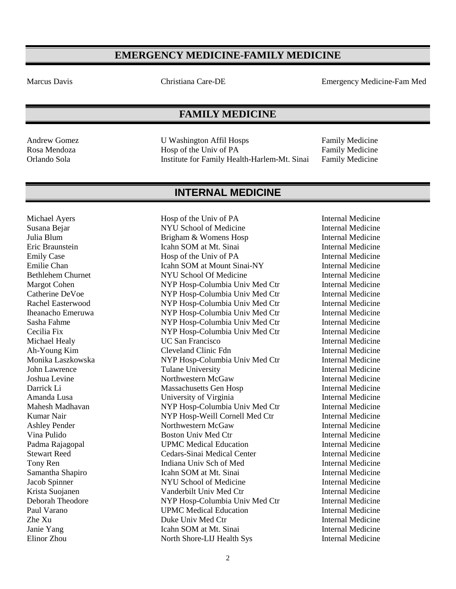## **EMERGENCY MEDICINE-FAMILY MEDICINE**

Marcus Davis Christiana Care-DE Emergency Medicine-Fam Med

### **FAMILY MEDICINE**

Andrew Gomez **IV** Washington Affil Hosps Family Medicine Rosa Mendoza **Rosa** Hosp of the Univ of PA Family Medicine Orlando Sola Institute for Family Health-Harlem-Mt. Sinai Family Medicine

## **INTERNAL MEDICINE**

Michael Ayers **Hosp of the Univ of PA** Internal Medicine

Susana Bejar NYU School of Medicine Internal Medicine Julia Blum **Brigham & Womens Hosp** Internal Medicine Eric Braunstein Icahn SOM at Mt. Sinai Internal Medicine Emily Case **Hosp of the Univ of PA** Internal Medicine Emilie Chan **Icahn SOM at Mount Sinai-NY** Internal Medicine Bethlehem Churnet NYU School Of Medicine Internal Medicine Margot Cohen NYP Hosp-Columbia Univ Med Ctr Internal Medicine Catherine DeVoe NYP Hosp-Columbia Univ Med Ctr Internal Medicine Rachel Easterwood NYP Hosp-Columbia Univ Med Ctr Internal Medicine Iheanacho Emeruwa NYP Hosp-Columbia Univ Med Ctr Internal Medicine Sasha Fahme NYP Hosp-Columbia Univ Med Ctr Internal Medicine Cecilia Fix NYP Hosp-Columbia Univ Med Ctr Internal Medicine Michael Healy **Internal Medicine** UC San Francisco **Internal Medicine** *Internal Medicine* Ah-Young Kim Cleveland Clinic Fdn Internal Medicine Monika Laszkowska NYP Hosp-Columbia Univ Med Ctr Internal Medicine John Lawrence Tulane University Internal Medicine Joshua Levine Northwestern McGaw Internal Medicine Darrick Li Massachusetts Gen Hosp Internal Medicine<br>
Amanda Lusa Internal Medicine<br>
Internal Medicine University of Virginia Internal Medicine Mahesh Madhavan NYP Hosp-Columbia Univ Med Ctr Internal Medicine Kumar Nair **NAIR Institute Cornell Med Ctr** Internal Medicine Ashley Pender **Northwestern McGaw** Internal Medicine Vina Pulido **Boston Univ Med Ctr** Internal Medicine Padma Rajagopal **III Started UPMC Medical Education** Internal Medicine<br>
Stewart Reed **Internal Medicine** Cedars-Sinai Medical Center **Internal Medicine** Cedars-Sinai Medical Center **Internal Medicine** Tony Ren **Indiana Univ Sch of Med** Internal Medicine Samantha Shapiro **Icahn SOM at Mt. Sinai** Internal Medicine Jacob Spinner NYU School of Medicine Internal Medicine Krista Suojanen **Vanderbilt Univ Med Ctr** Internal Medicine Deborah Theodore NYP Hosp-Columbia Univ Med Ctr Internal Medicine Paul Varano **Internal Medicine** UPMC Medical Education **Internal Medicine** Zhe Xu Duke Univ Med Ctr Internal Medicine Janie Yang **Icahn SOM at Mt. Sinai Internal Medicine** Elinor Zhou North Shore-LIJ Health Sys Internal Medicine

2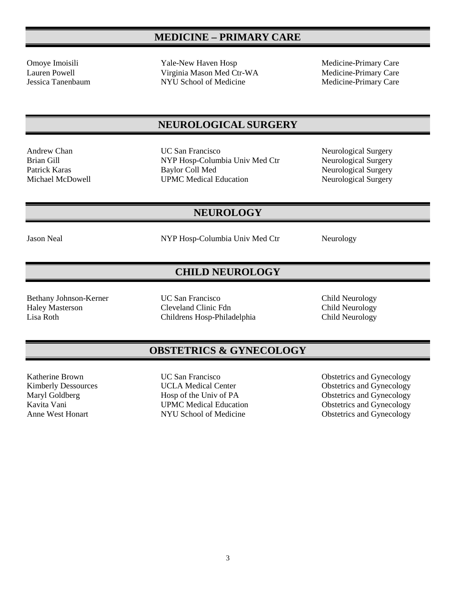# **MEDICINE – PRIMARY CARE**

Omoye Imoisili Yale-New Haven Hosp Medicine-Primary Care Lauren Powell Virginia Mason Med Ctr-WA Medicine-Primary Care<br>
Jessica Tanenbaum NYU School of Medicine Medicine Medicine-Primary Care NYU School of Medicine

### **NEUROLOGICAL SURGERY**

Andrew Chan **Internal COV** San Francisco **Neurological Surgery** Neurological Surgery Brian Gill **NYP Hosp-Columbia Univ Med Ctr** Neurological Surgery Patrick Karas Baylor Coll Med Neurological Surgery Michael McDowell **UPMC Medical Education** Neurological Surgery

Jason Neal NYP Hosp-Columbia Univ Med Ctr Neurology

**NEUROLOGY**

## **CHILD NEUROLOGY**

Bethany Johnson-Kerner UC San Francisco Child Neurology<br>
Haley Masterson Cleveland Clinic Fdn Child Neurology Cleveland Clinic Fdn Lisa Roth Childrens Hosp-Philadelphia Child Neurology

### **OBSTETRICS & GYNECOLOGY**

Katherine Brown UC San Francisco Obstetrics and Gynecology Kimberly Dessources UCLA Medical Center Obstetrics and Gynecology Maryl Goldberg **Hosp of the Univ of PA** Obstetrics and Gynecology<br>
Kavita Vani **WARC Medical Education** Obstetrics and Gynecology Kavita Vani **Example 3 UPMC Medical Education**<br>
MANU School of Medicine<br>
Obstetrics and Gynecology<br>
Obstetrics and Gynecology NYU School of Medicine Obstetrics and Gynecology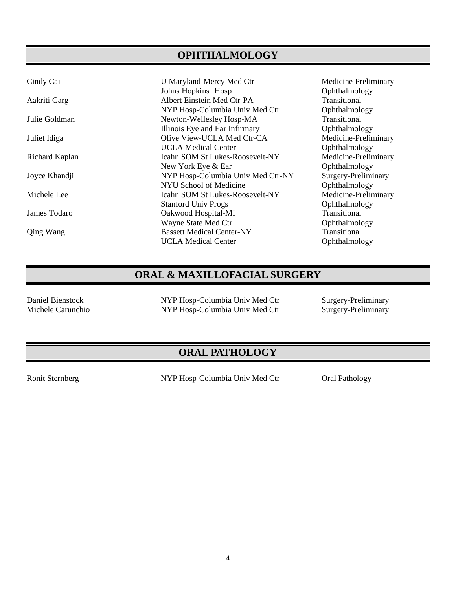## **OPHTHALMOLOGY**

| Cindy Cai        | U Maryland-Mercy Med Ctr               | Medicine-Preliminary |
|------------------|----------------------------------------|----------------------|
|                  | Johns Hopkins Hosp                     | Ophthalmology        |
| Aakriti Garg     | Albert Einstein Med Ctr-PA             | Transitional         |
|                  | NYP Hosp-Columbia Univ Med Ctr         | Ophthalmology        |
| Julie Goldman    | Newton-Wellesley Hosp-MA               | Transitional         |
|                  | Illinois Eye and Ear Infirmary         | Ophthalmology        |
| Juliet Idiga     | Olive View-UCLA Med Ctr-CA             | Medicine-Preliminary |
|                  | <b>UCLA Medical Center</b>             | Ophthalmology        |
| Richard Kaplan   | <b>Icahn SOM St Lukes-Roosevelt-NY</b> | Medicine-Preliminary |
|                  | New York Eye & Ear                     | Ophthalmology        |
| Joyce Khandji    | NYP Hosp-Columbia Univ Med Ctr-NY      | Surgery-Preliminary  |
|                  | NYU School of Medicine                 | Ophthalmology        |
| Michele Lee      | <b>Icahn SOM St Lukes-Roosevelt-NY</b> | Medicine-Preliminary |
|                  | <b>Stanford Univ Progs</b>             | Ophthalmology        |
| James Todaro     | Oakwood Hospital-MI                    | Transitional         |
|                  | Wayne State Med Ctr                    | Ophthalmology        |
| <b>Qing Wang</b> | <b>Bassett Medical Center-NY</b>       | Transitional         |
|                  | <b>UCLA Medical Center</b>             | Ophthalmology        |

## **ORAL & MAXILLOFACIAL SURGERY**

Daniel Bienstock NYP Hosp-Columbia Univ Med Ctr Surgery-Preliminary NYP Hosp-Columbia Univ Med Ctr

## **ORAL PATHOLOGY**

Ronit Sternberg NYP Hosp-Columbia Univ Med Ctr Oral Pathology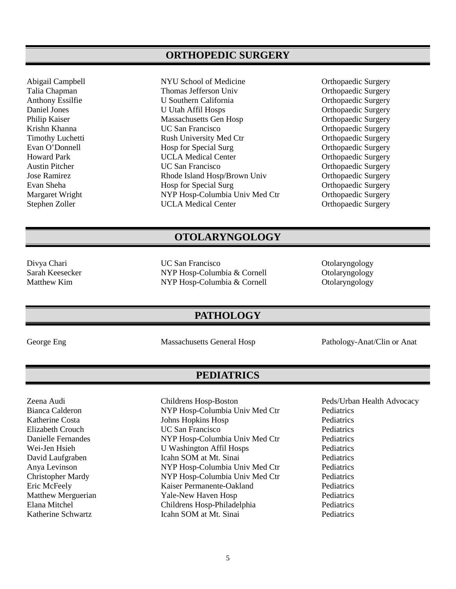#### **ORTHOPEDIC SURGERY**

Talia Chapman Thomas Jefferson Univ Orthopaedic Surgery Anthony Essilfie **Containert U.** Southern California **Containert Containert Containert Containert Containert Containert Containert Containert Containert Containert Containert Containert Containert Containert Containert Con** Daniel Jones U Utah Affil Hosps Daniel Jones U Utah Affil Hosps Orthopaedic Surgery<br>
Philip Kaiser Massachusetts Gen Hosp Orthopaedic Surgery Philip Kaiser Massachusetts Gen Hosp Krishn Khanna UC San Francisco Orthopaedic Surgery Timothy Luchetti **Rush University Med Ctr** Crimothy Drthopaedic Surgery<br>
Rush University Med Ctr Crimothy Orthopaedic Surgery<br>
Orthopaedic Surgery Evan O'Donnell **Hosp for Special Surg Community** Community Community Community Community Howard Park Community Community Community Howard Park Community Community Community Community Community Community Community Community UCLA Medical Center **Orthopaedic Surgery** Austin Pitcher **COM COMPONE COMPONE CONTRACTE CONTRACT CONTRACT OF CONTRACT OF CONTRACT OF CONTRACT OF CONTRACT OF CONTRACT OF CONTRACT OF CONTRACT OF CONTRACT OF CONTRACT OF CONTRACT OF CONTRACT OF CONTRACT OF CONTRACT** Jose Ramirez Rhode Island Hosp/Brown Univ Orthopaedic Surgery Evan Sheha **Hosp for Special Surg Community** Community Community Community Community Community Community Community Community Community Community Community Community Community Community Community Community Community Communi Margaret Wright NYP Hosp-Columbia Univ Med Ctr Orthopaedic Surgery Stephen Zoller **UCLA Medical Center** Orthopaedic Surgery

Abigail Campbell NYU School of Medicine Orthopaedic Surgery

#### **OTOLARYNGOLOGY**

Divya Chari UC San Francisco Otolaryngology Sarah Keesecker MYP Hosp-Columbia & Cornell Colaryngology<br>
Matthew Kim NYP Hosp-Columbia & Cornell Otolaryngology NYP Hosp-Columbia & Cornell

#### **PATHOLOGY**

George Eng States Anatom Massachusetts General Hosp Pathology-Anat/Clin or Anat

**PEDIATRICS**

Bianca Calderon NYP Hosp-Columbia Univ Med Ctr Pediatrics Katherine Costa Johns Hopkins Hosp Pediatrics Elizabeth Crouch UC San Francisco Pediatrics Danielle Fernandes NYP Hosp-Columbia Univ Med Ctr Pediatrics Wei-Jen Hsieh U Washington Affil Hosps Pediatrics<br>
David Laufgraben Icahn SOM at Mt. Sinai Pediatrics **Icahn SOM at Mt. Sinai Pediatrics** Anya Levinson NYP Hosp-Columbia Univ Med Ctr Pediatrics Christopher Mardy NYP Hosp-Columbia Univ Med Ctr Pediatrics Eric McFeely Kaiser Permanente-Oakland Pediatrics Matthew Merguerian Yale-New Haven Hosp Pediatrics Elana Mitchel Childrens Hosp-Philadelphia Pediatrics Katherine Schwartz **Icahn SOM at Mt. Sinai** Pediatrics

Zeena Audi Childrens Hosp-Boston Peds/Urban Health Advocacy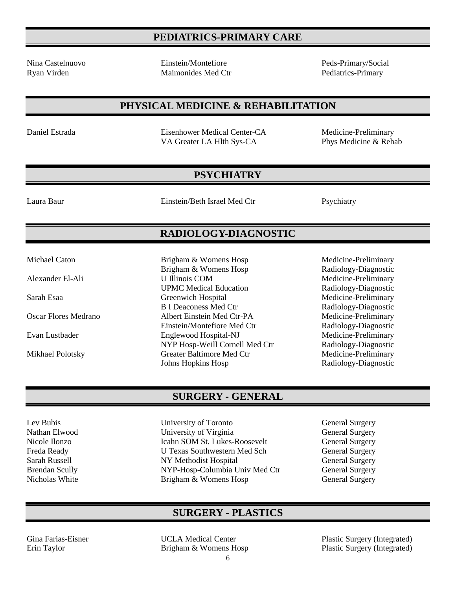## **PEDIATRICS-PRIMARY CARE**

Nina Castelnuovo Einstein/Montefiore Peds-Primary/Social Ryan Virden **Maimonides Med Ctr** Pediatrics-Primary Pediatrics-Primary

### **PHYSICAL MEDICINE & REHABILITATION**

Daniel Estrada Eisenhower Medical Center-CA Medicine-Preliminary VA Greater LA Hlth Sys-CA Phys Medicine & Rehab

## **PSYCHIATRY**

Laura Baur Einstein/Beth Israel Med Ctr Psychiatry

## **RADIOLOGY-DIAGNOSTIC**

Brigham & Womens Hosp Radiology-Diagnostic

UPMC Medical Education Radiology-Diagnostic

B I Deaconess Med Ctr Radiology-Diagnostic

Einstein/Montefiore Med Ctr Radiology-Diagnostic

Johns Hopkins Hosp Radiology-Diagnostic

Michael Caton **Brigham & Womens Hosp** Medicine-Preliminary

Alexander El-Ali U Illinois COM Medicine-Preliminary

Sarah Esaa Greenwich Hospital Medicine-Preliminary

Oscar Flores Medrano Albert Einstein Med Ctr-PA Medicine-Preliminary

Evan Lustbader Englewood Hospital-NJ Medicine-Preliminary<br>NYP Hosp-Weill Cornell Med Ctr Radiology-Diagnostic

Mikhael Polotsky Greater Baltimore Med Ctr Medicine-Preliminary

## **SURGERY - GENERAL**

NYP Hosp-Weill Cornell Med Ctr

- Lev Bubis University of Toronto General Surgery Nathan Elwood University of Virginia General Surgery Nicole Ilonzo Icahn SOM St. Lukes-Roosevelt General Surgery U Texas Southwestern Med Sch Sarah Russell NY Methodist Hospital General Surgery Brendan Scully NYP-Hosp-Columbia Univ Med Ctr General Surgery Nicholas White **Brigham & Womens Hosp** General Surgery
	-

## **SURGERY - PLASTICS**

Gina Farias-Eisner UCLA Medical Center Plastic Surgery (Integrated) Erin Taylor **Brigham & Womens Hosp** Plastic Surgery (Integrated)